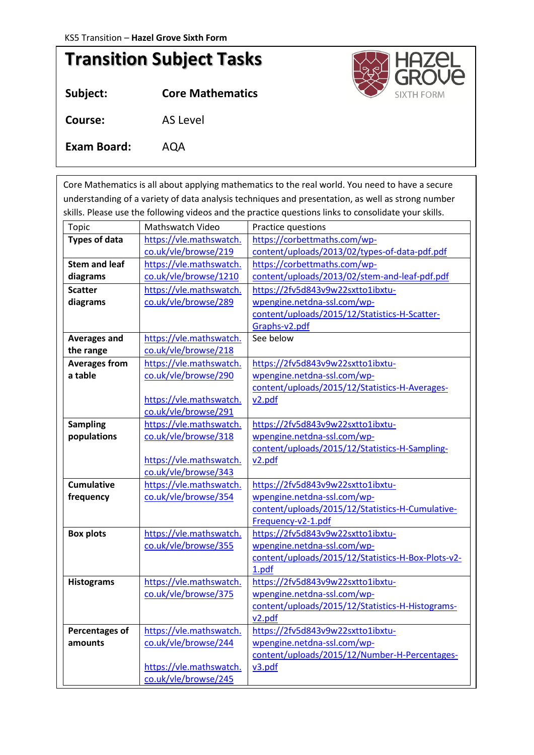## **Transition Subject Tasks**

**Subject: Core Mathematics Course:** AS Level **Exam Board:** AQA

*Tasks below are to be completed before September 2020*

Core Mathematics is all about applying mathematics to the real world. You need to have a secure understanding of a variety of data analysis techniques and presentation, as well as strong number skills. Please use the following videos and the practice questions links to consolidate your skills.

| Topic                 | Mathswatch Video        | Practice questions                                 |  |
|-----------------------|-------------------------|----------------------------------------------------|--|
| <b>Types of data</b>  | https://vle.mathswatch. | https://corbettmaths.com/wp-                       |  |
|                       | co.uk/vle/browse/219    | content/uploads/2013/02/types-of-data-pdf.pdf      |  |
| <b>Stem and leaf</b>  | https://vle.mathswatch. | https://corbettmaths.com/wp-                       |  |
| diagrams              | co.uk/vle/browse/1210   | content/uploads/2013/02/stem-and-leaf-pdf.pdf      |  |
| <b>Scatter</b>        | https://vle.mathswatch. | https://2fv5d843v9w22sxtto1ibxtu-                  |  |
| diagrams              | co.uk/vle/browse/289    | wpengine.netdna-ssl.com/wp-                        |  |
|                       |                         | content/uploads/2015/12/Statistics-H-Scatter-      |  |
|                       |                         | Graphs-v2.pdf                                      |  |
| <b>Averages and</b>   | https://vle.mathswatch. | See below                                          |  |
| the range             | co.uk/vle/browse/218    |                                                    |  |
| <b>Averages from</b>  | https://vle.mathswatch. | https://2fv5d843v9w22sxtto1ibxtu-                  |  |
| a table               | co.uk/vle/browse/290    | wpengine.netdna-ssl.com/wp-                        |  |
|                       |                         | content/uploads/2015/12/Statistics-H-Averages-     |  |
|                       | https://vle.mathswatch. | v <sub>2.pdf</sub>                                 |  |
|                       | co.uk/vle/browse/291    |                                                    |  |
| <b>Sampling</b>       | https://vle.mathswatch. | https://2fv5d843v9w22sxtto1ibxtu-                  |  |
| populations           | co.uk/vle/browse/318    | wpengine.netdna-ssl.com/wp-                        |  |
|                       |                         | content/uploads/2015/12/Statistics-H-Sampling-     |  |
|                       | https://vle.mathswatch. | v <sub>2.pdf</sub>                                 |  |
|                       | co.uk/vle/browse/343    |                                                    |  |
| <b>Cumulative</b>     | https://vle.mathswatch. | https://2fv5d843v9w22sxtto1ibxtu-                  |  |
| frequency             | co.uk/vle/browse/354    | wpengine.netdna-ssl.com/wp-                        |  |
|                       |                         | content/uploads/2015/12/Statistics-H-Cumulative-   |  |
|                       |                         | Frequency-v2-1.pdf                                 |  |
| <b>Box plots</b>      | https://vle.mathswatch. | https://2fv5d843v9w22sxtto1ibxtu-                  |  |
|                       | co.uk/vle/browse/355    | wpengine.netdna-ssl.com/wp-                        |  |
|                       |                         | content/uploads/2015/12/Statistics-H-Box-Plots-v2- |  |
|                       |                         | 1.pdf                                              |  |
| <b>Histograms</b>     | https://vle.mathswatch. | https://2fv5d843v9w22sxtto1ibxtu-                  |  |
|                       | co.uk/vle/browse/375    | wpengine.netdna-ssl.com/wp-                        |  |
|                       |                         | content/uploads/2015/12/Statistics-H-Histograms-   |  |
|                       |                         | v2.pdf                                             |  |
| <b>Percentages of</b> | https://vle.mathswatch. | https://2fv5d843v9w22sxtto1ibxtu-                  |  |
| amounts               | co.uk/vle/browse/244    | wpengine.netdna-ssl.com/wp-                        |  |
|                       |                         | content/uploads/2015/12/Number-H-Percentages-      |  |
|                       | https://vle.mathswatch. | v3.pdf                                             |  |
|                       | co.uk/vle/browse/245    |                                                    |  |